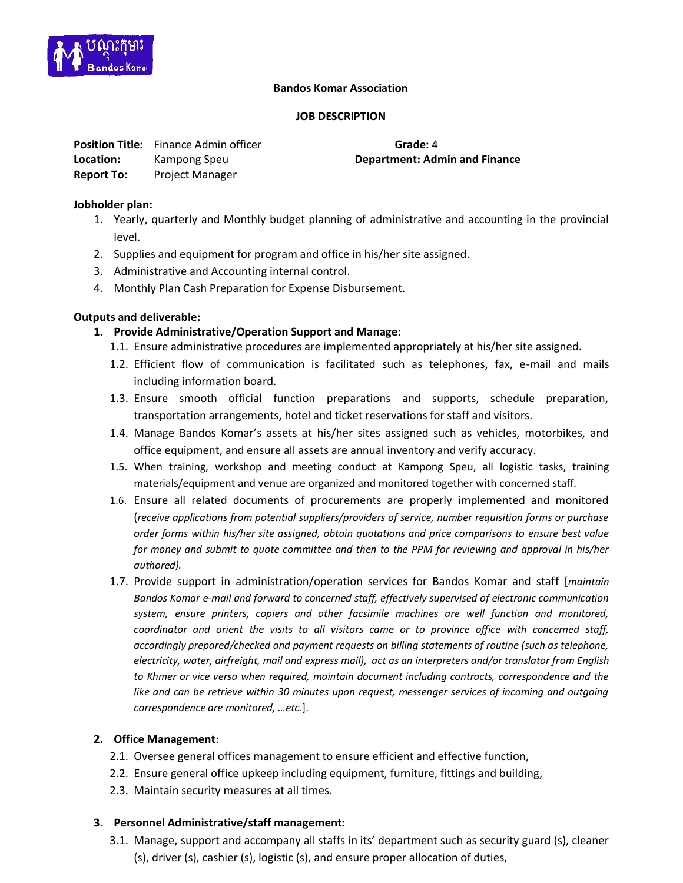

#### **Bandos Komar Association**

#### **JOB DESCRIPTION**

|                   | <b>Position Title:</b> Finance Admin officer | Grade: 4              |
|-------------------|----------------------------------------------|-----------------------|
| Location:         | Kampong Speu                                 | <b>Department: Ad</b> |
| <b>Report To:</b> | <b>Project Manager</b>                       |                       |

**Department: Admin and Finance** 

## **Jobholder plan:**

- 1. Yearly, quarterly and Monthly budget planning of administrative and accounting in the provincial level.
- 2. Supplies and equipment for program and office in his/her site assigned.
- 3. Administrative and Accounting internal control.
- 4. Monthly Plan Cash Preparation for Expense Disbursement.

## **Outputs and deliverable:**

## **1. Provide Administrative/Operation Support and Manage:**

- 1.1. Ensure administrative procedures are implemented appropriately at his/her site assigned.
- 1.2. Efficient flow of communication is facilitated such as telephones, fax, e-mail and mails including information board.
- 1.3. Ensure smooth official function preparations and supports, schedule preparation, transportation arrangements, hotel and ticket reservations for staff and visitors.
- 1.4. Manage Bandos Komar's assets at his/her sites assigned such as vehicles, motorbikes, and office equipment, and ensure all assets are annual inventory and verify accuracy.
- 1.5. When training, workshop and meeting conduct at Kampong Speu, all logistic tasks, training materials/equipment and venue are organized and monitored together with concerned staff.
- 1.6. Ensure all related documents of procurements are properly implemented and monitored (*receive applications from potential suppliers/providers of service, number requisition forms or purchase order forms within his/her site assigned, obtain quotations and price comparisons to ensure best value for money and submit to quote committee and then to the PPM for reviewing and approval in his/her authored).*
- 1.7. Provide support in administration/operation services for Bandos Komar and staff [*maintain Bandos Komar e-mail and forward to concerned staff, effectively supervised of electronic communication system, ensure printers, copiers and other facsimile machines are well function and monitored, coordinator and orient the visits to all visitors came or to province office with concerned staff, accordingly prepared/checked and payment requests on billing statements of routine (such as telephone, electricity, water, airfreight, mail and express mail), act as an interpreters and/or translator from English to Khmer or vice versa when required, maintain document including contracts, correspondence and the*  like and can be retrieve within 30 minutes upon request, messenger services of incoming and outgoing *correspondence are monitored, …etc.*].

## **2. Office Management**:

- 2.1. Oversee general offices management to ensure efficient and effective function,
- 2.2. Ensure general office upkeep including equipment, furniture, fittings and building,
- 2.3. Maintain security measures at all times.

#### **3. Personnel Administrative/staff management:**

3.1. Manage, support and accompany all staffs in its' department such as security guard (s), cleaner (s), driver (s), cashier (s), logistic (s), and ensure proper allocation of duties,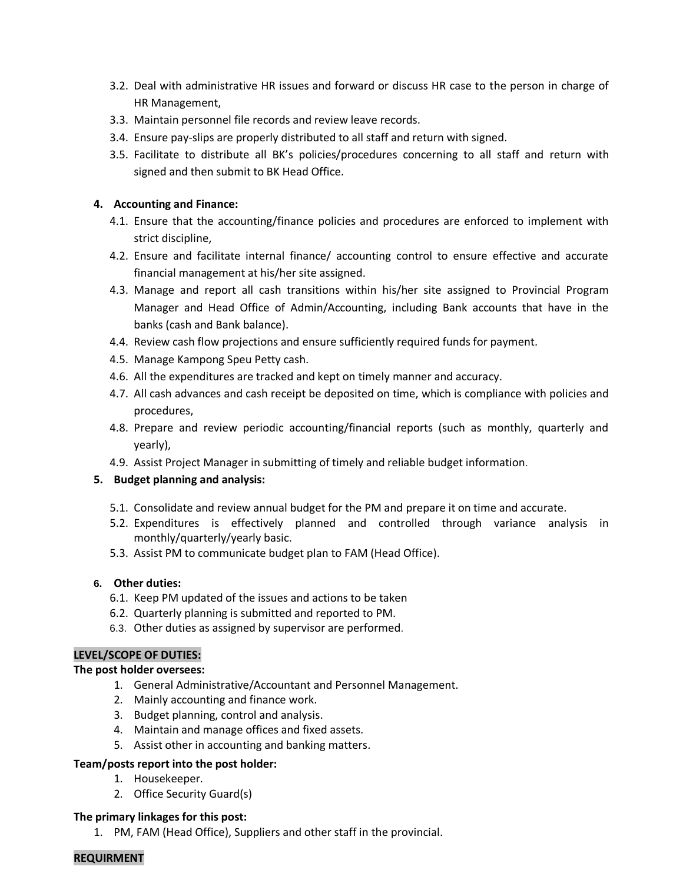- 3.2. Deal with administrative HR issues and forward or discuss HR case to the person in charge of HR Management,
- 3.3. Maintain personnel file records and review leave records.
- 3.4. Ensure pay-slips are properly distributed to all staff and return with signed.
- 3.5. Facilitate to distribute all BK's policies/procedures concerning to all staff and return with signed and then submit to BK Head Office.

#### **4. Accounting and Finance:**

- 4.1. Ensure that the accounting/finance policies and procedures are enforced to implement with strict discipline,
- 4.2. Ensure and facilitate internal finance/ accounting control to ensure effective and accurate financial management at his/her site assigned.
- 4.3. Manage and report all cash transitions within his/her site assigned to Provincial Program Manager and Head Office of Admin/Accounting, including Bank accounts that have in the banks (cash and Bank balance).
- 4.4. Review cash flow projections and ensure sufficiently required funds for payment.
- 4.5. Manage Kampong Speu Petty cash.
- 4.6. All the expenditures are tracked and kept on timely manner and accuracy.
- 4.7. All cash advances and cash receipt be deposited on time, which is compliance with policies and procedures,
- 4.8. Prepare and review periodic accounting/financial reports (such as monthly, quarterly and yearly),
- 4.9. Assist Project Manager in submitting of timely and reliable budget information.

## **5. Budget planning and analysis:**

- 5.1. Consolidate and review annual budget for the PM and prepare it on time and accurate.
- 5.2. Expenditures is effectively planned and controlled through variance analysis in monthly/quarterly/yearly basic.
- 5.3. Assist PM to communicate budget plan to FAM (Head Office).

## **6. Other duties:**

- 6.1. Keep PM updated of the issues and actions to be taken
- 6.2. Quarterly planning is submitted and reported to PM.
- 6.3. Other duties as assigned by supervisor are performed.

## **LEVEL/SCOPE OF DUTIES:**

## **The post holder oversees:**

- 1. General Administrative/Accountant and Personnel Management.
- 2. Mainly accounting and finance work.
- 3. Budget planning, control and analysis.
- 4. Maintain and manage offices and fixed assets.
- 5. Assist other in accounting and banking matters.

## **Team/posts report into the post holder:**

- 1. Housekeeper.
- 2. Office Security Guard(s)

## **The primary linkages for this post:**

1. PM, FAM (Head Office), Suppliers and other staff in the provincial.

## **REQUIRMENT**